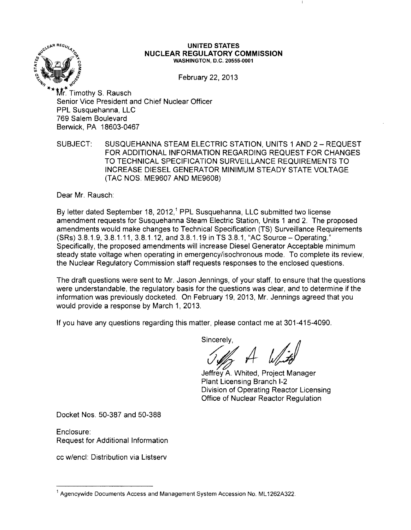

#### **UNITED STATES NUCLEAR REGULATORY COMMISSION** WASHINGTON, D.C. 20555-0001

February 22, 2013

**\*\*\*-j("** Mr. Timothy S. Rausch Senior Vice President and Chief Nuclear Officer PPL Susquehanna, LLC 769 Salem Boulevard Berwick, PA 18603-0467

SUBJECT: SUSQUEHANNA STEAM ELECTRIC STATION, UNITS 1 AND 2 - REQUEST FOR ADDITIONAL INFORMATION REGARDING REQUEST FOR CHANGES TO TECHNICAL SPECIFICATION SURVEILLANCE REQUIREMENTS TO INCREASE DIESEL GENERATOR MINIMUM STEADY STATE VOLTAGE (TAC NOS. ME9607 AND ME9608)

Dear Mr. Rausch:

By letter dated September 18, 2012,<sup>1</sup> PPL Susquehanna, LLC submitted two license amendment requests for Susquehanna Steam Electric Station, Units 1 and 2. The proposed amendments would make changes to Technical Specification (TS) Surveillance Requirements (SRs) 3.8.1.9,3.8.1.11,3.8.1.12, and 3.8.1.19 in TS 3.8.1, HAC Source - Operating." Specifically, the proposed amendments will increase Diesel Generator Acceptable minimum steady state voltage when operating in emergency/isochronous mode. To complete its review, the Nuclear Regulatory Commission staff requests responses to the enclosed questions.

The draft questions were sent to Mr. Jason Jennings, of your staff, to ensure that the questions were understandable, the regulatory basis for the questions was clear, and to determine if the information was previously docketed. On February 19, 2013, Mr. Jennings agreed that you would provide a response by March 1, 2013.

If you have any questions regarding this matter, please contact me at 301-415-4090.

Sincerely,

Jeffrev A. Whited, Project Manager Plant Licensing Branch 1-2 Division of Operating Reactor Licensing Office of Nuclear Reactor Regulation

Docket Nos. 50-387 and 50-388

Enclosure: Request for Additional Information

cc w/encl: Distribution via Listserv

<sup>&</sup>lt;sup>1</sup> Agencywide Documents Access and Management System Accession No. ML1262A322.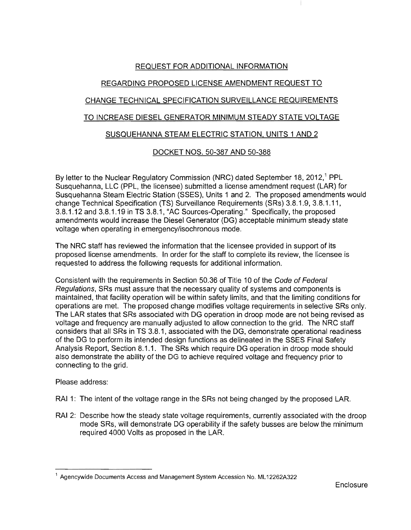# REQUEST FOR ADDITIONAL INFORMATION

# REGARDING PROPOSED LICENSE AMENDMENT REQUEST TO

# CHANGE TECHNICAL SPECIFICATION SURVEILLANCE REQUIREMENTS

# TO INCREASE DIESEL GENERATOR MINIMUM STEADY STATE VOLTAGE

## SUSQUEHANNA STEAM ELECTRIC STATION, UNITS 1 AND 2

## DOCKET NOS. 50-387 AND 50-388

By letter to the Nuclear Regulatory Commission (NRC) dated September 18, 2012,<sup>1</sup> PPL Susquehanna, LLC (PPL, the licensee) submitted a license amendment request (LAR) for Susquehanna Steam Electric Station (SSES), Units 1 and 2. The proposed amendments would change Technical Specification (TS) Surveillance Requirements (SRs) 3.8.1.9, 3.8.1.11, 3.8.1.12 and 3.8.1.19 in TS 3.8.1, "AC Sources-Operating." Specifically, the proposed amendments would increase the Diesel Generator (DG) acceptable minimum steady state voltage when operating in emergency/isochronous mode.

The NRC staff has reviewed the information that the licensee provided in support of its proposed license amendments. In order for the staff to complete its review, the licensee is requested to address the following requests for additional information.

Consistent with the requirements in Section 50.36 of Title 10 of the Code of Federal Regulations, SRs must assure that the necessary quality of systems and components is maintained, that facility operation will be within safety limits, and that the limiting conditions for operations are met. The proposed change modifies voltage requirements in selective SRs only. The LAR states that SRs associated with DG operation in droop mode are not being revised as voltage and frequency are manually adjusted to allow connection to the grid. The NRC staff considers that all SRs in TS 3.8.1, associated with the DG, demonstrate operational readiness of the DG to perform its intended design functions as delineated in the SSES Final Safety Analysis Report, Section 8.1.1. The SRs which require DG operation in droop mode should also demonstrate the ability of the DG to achieve required voltage and frequency prior to connecting to the grid.

#### Please address:

- RAI 1: The intent of the voltage range in the SRs not being changed by the proposed LAR.
- RAI 2: Describe how the steady state voltage requirements, currently associated with the droop mode SRs, will demonstrate DG operability if the safety busses are below the minimum required 4000 Volts as proposed in the LAR.

<sup>1</sup> Agencywide Documents Access and Management System Accession No. ML 12262A322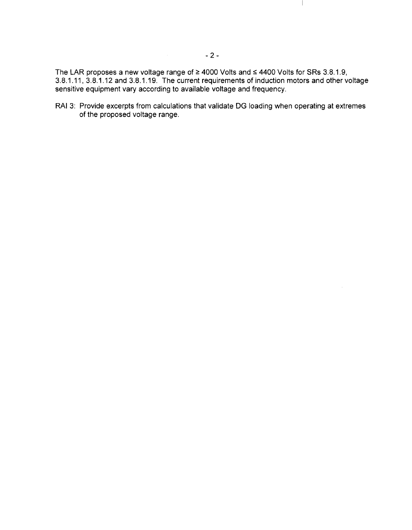The LAR proposes a new voltage range of  $\geq$  4000 Volts and  $\leq$  4400 Volts for SRs 3.8.1.9, 3.8.1.11, 3.8.1.12 and 3.8.1.19. The current requirements of induction motors and other voltage sensitive equipment vary according to available voltage and frequency.

RAI 3: Provide excerpts from calculations that validate DG loading when operating at extremes of the proposed voltage range.

 $\overline{\phantom{a}}$